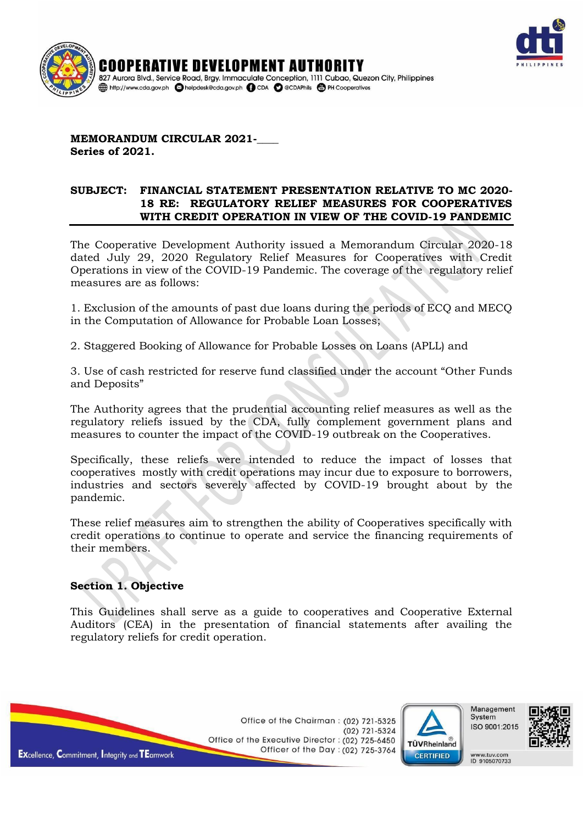



**MEMORANDUM CIRCULAR 2021-Series of 2021.**

#### **SUBJECT: FINANCIAL STATEMENT PRESENTATION RELATIVE TO MC 2020- 18 RE: REGULATORY RELIEF MEASURES FOR COOPERATIVES WITH CREDIT OPERATION IN VIEW OF THE COVID-19 PANDEMIC**

The Cooperative Development Authority issued a Memorandum Circular 2020-18 dated July 29, 2020 Regulatory Relief Measures for Cooperatives with Credit Operations in view of the COVID-19 Pandemic. The coverage of the regulatory relief measures are as follows:

1. Exclusion of the amounts of past due loans during the periods of ECQ and MECQ in the Computation of Allowance for Probable Loan Losses;

2. Staggered Booking of Allowance for Probable Losses on Loans (APLL) and

3. Use of cash restricted for reserve fund classified under the account "Other Funds and Deposits"

The Authority agrees that the prudential accounting relief measures as well as the regulatory reliefs issued by the CDA, fully complement government plans and measures to counter the impact of the COVID-19 outbreak on the Cooperatives.

Specifically, these reliefs were intended to reduce the impact of losses that cooperatives mostly with credit operations may incur due to exposure to borrowers, industries and sectors severely affected by COVID-19 brought about by the pandemic.

These relief measures aim to strengthen the ability of Cooperatives specifically with credit operations to continue to operate and service the financing requirements of their members.

## **Section 1. Objective**

This Guidelines shall serve as a guide to cooperatives and Cooperative External Auditors (CEA) in the presentation of financial statements after availing the regulatory reliefs for credit operation.

> Office of the Chairman: (02) 721-5325  $(02)$  721-5324 Office of the Executive Director: (02) 725-6450 Officer of the Day: (02) 725-3764





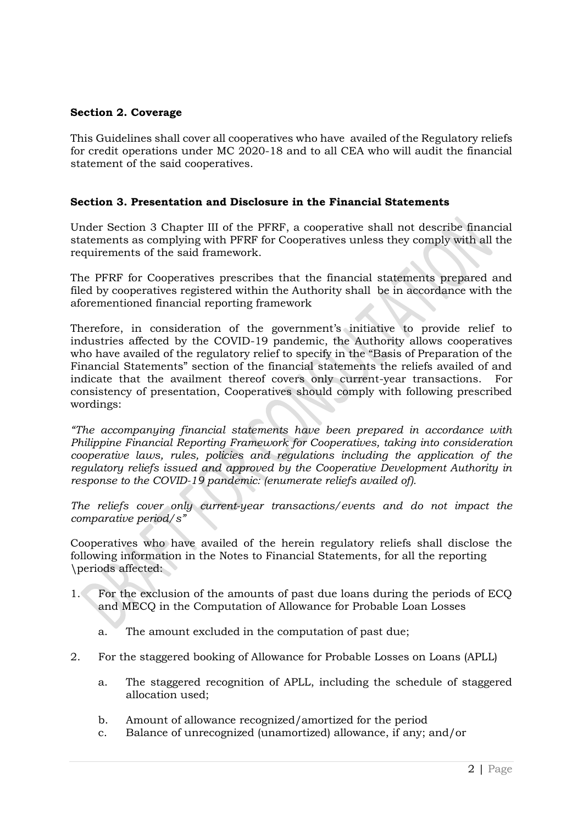# **Section 2. Coverage**

This Guidelines shall cover all cooperatives who have availed of the Regulatory reliefs for credit operations under MC 2020-18 and to all CEA who will audit the financial statement of the said cooperatives.

# **Section 3. Presentation and Disclosure in the Financial Statements**

Under Section 3 Chapter III of the PFRF, a cooperative shall not describe financial statements as complying with PFRF for Cooperatives unless they comply with all the requirements of the said framework.

The PFRF for Cooperatives prescribes that the financial statements prepared and filed by cooperatives registered within the Authority shall be in accordance with the aforementioned financial reporting framework

Therefore, in consideration of the government's initiative to provide relief to industries affected by the COVID-19 pandemic, the Authority allows cooperatives who have availed of the regulatory relief to specify in the "Basis of Preparation of the Financial Statements" section of the financial statements the reliefs availed of and indicate that the availment thereof covers only current-year transactions. For consistency of presentation, Cooperatives should comply with following prescribed wordings:

*"The accompanying financial statements have been prepared in accordance with Philippine Financial Reporting Framework for Cooperatives, taking into consideration cooperative laws, rules, policies and regulations including the application of the regulatory reliefs issued and approved by the Cooperative Development Authority in response to the COVID-19 pandemic: (enumerate reliefs availed of).* 

*The reliefs cover only current-year transactions/events and do not impact the comparative period/s"*

Cooperatives who have availed of the herein regulatory reliefs shall disclose the following information in the Notes to Financial Statements, for all the reporting \periods affected:

- 1. For the exclusion of the amounts of past due loans during the periods of ECQ and MECQ in the Computation of Allowance for Probable Loan Losses
	- a. The amount excluded in the computation of past due;
- 2. For the staggered booking of Allowance for Probable Losses on Loans (APLL)
	- a. The staggered recognition of APLL, including the schedule of staggered allocation used;
	- b. Amount of allowance recognized/amortized for the period
	- c. Balance of unrecognized (unamortized) allowance, if any; and/or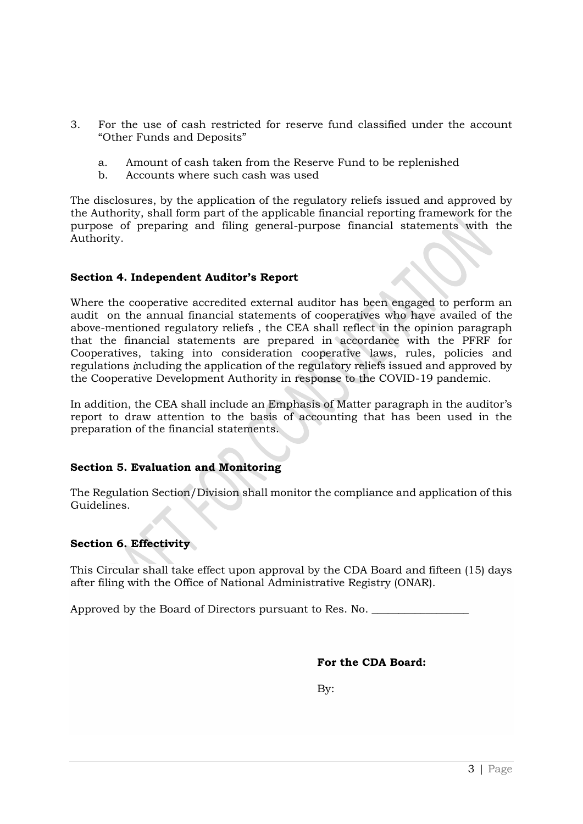- 3. For the use of cash restricted for reserve fund classified under the account "Other Funds and Deposits"
	- a. Amount of cash taken from the Reserve Fund to be replenished
	- b. Accounts where such cash was used

The disclosures, by the application of the regulatory reliefs issued and approved by the Authority, shall form part of the applicable financial reporting framework for the purpose of preparing and filing general-purpose financial statements with the Authority.

## **Section 4. Independent Auditor's Report**

Where the cooperative accredited external auditor has been engaged to perform an audit on the annual financial statements of cooperatives who have availed of the above-mentioned regulatory reliefs , the CEA shall reflect in the opinion paragraph that the financial statements are prepared in accordance with the PFRF for Cooperatives, taking into consideration cooperative laws, rules, policies and regulations *i*ncluding the application of the regulatory reliefs issued and approved by the Cooperative Development Authority in response to the COVID-19 pandemic.

In addition, the CEA shall include an Emphasis of Matter paragraph in the auditor's report to draw attention to the basis of accounting that has been used in the preparation of the financial statements.

# **Section 5. Evaluation and Monitoring**

The Regulation Section/Division shall monitor the compliance and application of this Guidelines.

## **Section 6. Effectivity**

This Circular shall take effect upon approval by the CDA Board and fifteen (15) days after filing with the Office of National Administrative Registry (ONAR).

Approved by the Board of Directors pursuant to Res. No.

**For the CDA Board:**

By: